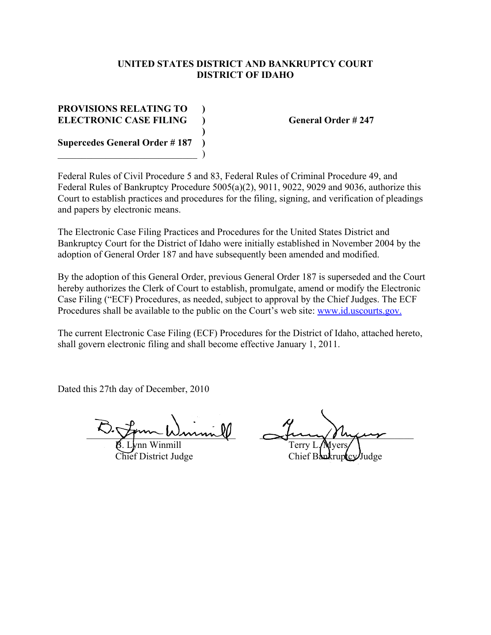#### **UNITED STATES DISTRICT AND BANKRUPTCY COURT DISTRICT OF IDAHO**

# **PROVISIONS RELATING TO ) ELECTRONIC CASE FILING ) General Order # 247 Supercedes General Order # 187 )**

 $\qquad \qquad )$ 

Federal Rules of Civil Procedure 5 and 83, Federal Rules of Criminal Procedure 49, and Federal Rules of Bankruptcy Procedure 5005(a)(2), 9011, 9022, 9029 and 9036, authorize this Court to establish practices and procedures for the filing, signing, and verification of pleadings and papers by electronic means.

**)**

The Electronic Case Filing Practices and Procedures for the United States District and Bankruptcy Court for the District of Idaho were initially established in November 2004 by the adoption of General Order 187 and have subsequently been amended and modified.

By the adoption of this General Order, previous General Order 187 is superseded and the Court hereby authorizes the Clerk of Court to establish, promulgate, amend or modify the Electronic Case Filing ("ECF) Procedures, as needed, subject to approval by the Chief Judges. The ECF Procedures shall be available to the public on the Court's web site: www.id.uscourts.gov.

The current Electronic Case Filing (ECF) Procedures for the District of Idaho, attached hereto, shall govern electronic filing and shall become effective January 1, 2011.

Dated this 27th day of December, 2010

 $\sim$  Tom Wurnnill String Myers  $\beta$ . Lynn Winmill  $\Box$  Terry L/Myers

Chief District Judge Chief Bankruptcy Judge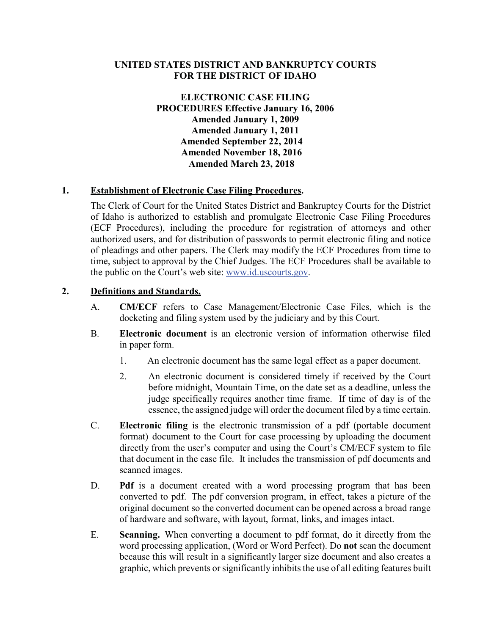#### **UNITED STATES DISTRICT AND BANKRUPTCY COURTS FOR THE DISTRICT OF IDAHO**

**ELECTRONIC CASE FILING PROCEDURES Effective January 16, 2006 Amended January 1, 2009 Amended January 1, 2011 Amended September 22, 2014 Amended November 18, 2016 Amended March 23, 2018**

#### **1. Establishment of Electronic Case Filing Procedures.**

The Clerk of Court for the United States District and Bankruptcy Courts for the District of Idaho is authorized to establish and promulgate Electronic Case Filing Procedures (ECF Procedures), including the procedure for registration of attorneys and other authorized users, and for distribution of passwords to permit electronic filing and notice of pleadings and other papers. The Clerk may modify the ECF Procedures from time to time, subject to approval by the Chief Judges. The ECF Procedures shall be available to the public on the Court's web site: [www.id.uscourts.gov.](http://www.id.uscourts.gov/)

#### **2. Definitions and Standards.**

- A. **CM/ECF** refers to Case Management/Electronic Case Files, which is the docketing and filing system used by the judiciary and by this Court.
- B. **Electronic document** is an electronic version of information otherwise filed in paper form.
	- 1. An electronic document has the same legal effect as a paper document.
	- 2. An electronic document is considered timely if received by the Court before midnight, Mountain Time, on the date set as a deadline, unless the judge specifically requires another time frame. If time of day is of the essence, the assigned judge will order the document filed by a time certain.
- C. **Electronic filing** is the electronic transmission of a pdf (portable document format) document to the Court for case processing by uploading the document directly from the user's computer and using the Court's CM/ECF system to file that document in the case file. It includes the transmission of pdf documents and scanned images.
- D. **Pdf** is a document created with a word processing program that has been converted to pdf. The pdf conversion program, in effect, takes a picture of the original document so the converted document can be opened across a broad range of hardware and software, with layout, format, links, and images intact.
- E. **Scanning.** When converting a document to pdf format, do it directly from the word processing application, (Word or Word Perfect). Do **not** scan the document because this will result in a significantly larger size document and also creates a graphic, which prevents or significantly inhibits the use of all editing features built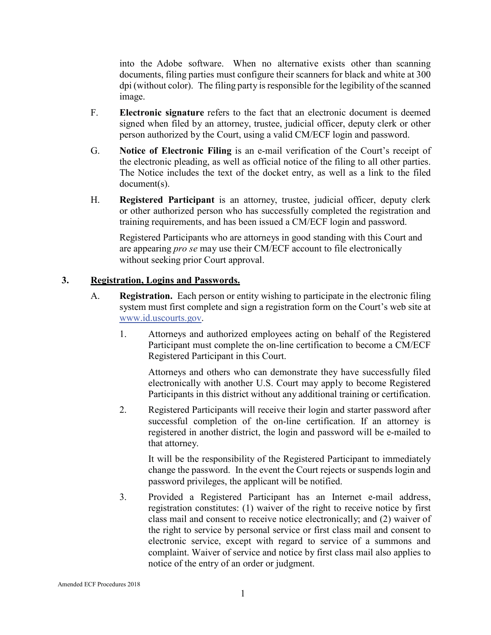into the Adobe software. When no alternative exists other than scanning documents, filing parties must configure their scanners for black and white at 300 dpi (without color). The filing party isresponsible for the legibility of the scanned image.

- F. **Electronic signature** refers to the fact that an electronic document is deemed signed when filed by an attorney, trustee, judicial officer, deputy clerk or other person authorized by the Court, using a valid CM/ECF login and password.
- G. **Notice of Electronic Filing** is an e-mail verification of the Court's receipt of the electronic pleading, as well as official notice of the filing to all other parties. The Notice includes the text of the docket entry, as well as a link to the filed document(s).
- H. **Registered Participant** is an attorney, trustee, judicial officer, deputy clerk or other authorized person who has successfully completed the registration and training requirements, and has been issued a CM/ECF login and password.

Registered Participants who are attorneys in good standing with this Court and are appearing *pro se* may use their CM/ECF account to file electronically without seeking prior Court approval.

# **3. Registration, Logins and Passwords.**

- A. **Registration.** Each person or entity wishing to participate in the electronic filing system must first complete and sign a registration form on the Court's web site at [www.id.uscourts.gov.](http://www.id.uscourts.gov/)
	- 1. Attorneys and authorized employees acting on behalf of the Registered Participant must complete the on-line certification to become a CM/ECF Registered Participant in this Court.

Attorneys and others who can demonstrate they have successfully filed electronically with another U.S. Court may apply to become Registered Participants in this district without any additional training or certification.

2. Registered Participants will receive their login and starter password after successful completion of the on-line certification. If an attorney is registered in another district, the login and password will be e-mailed to that attorney.

It will be the responsibility of the Registered Participant to immediately change the password. In the event the Court rejects or suspends login and password privileges, the applicant will be notified.

3. Provided a Registered Participant has an Internet e-mail address, registration constitutes: (1) waiver of the right to receive notice by first class mail and consent to receive notice electronically; and (2) waiver of the right to service by personal service or first class mail and consent to electronic service, except with regard to service of a summons and complaint. Waiver of service and notice by first class mail also applies to notice of the entry of an order or judgment.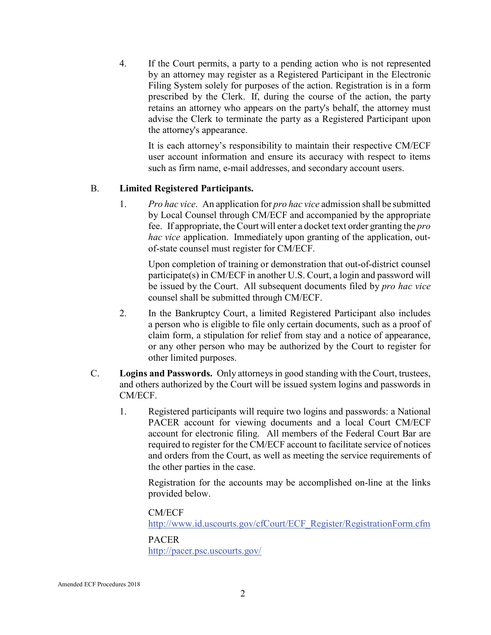4. If the Court permits, a party to a pending action who is not represented by an attorney may register as a Registered Participant in the Electronic Filing System solely for purposes of the action. Registration is in a form prescribed by the Clerk. If, during the course of the action, the party retains an attorney who appears on the party's behalf, the attorney must advise the Clerk to terminate the party as a Registered Participant upon the attorney's appearance.

It is each attorney's responsibility to maintain their respective CM/ECF user account information and ensure its accuracy with respect to items such as firm name, e-mail addresses, and secondary account users.

#### B. **Limited Registered Participants.**

1. *Pro hac vice*. An application for *pro hac vice* admission shall be submitted by Local Counsel through CM/ECF and accompanied by the appropriate fee. If appropriate, the Court will enter a docket text order granting the *pro hac vice* application. Immediately upon granting of the application, outof-state counsel must register for CM/ECF.

Upon completion of training or demonstration that out-of-district counsel participate(s) in CM/ECF in another U.S. Court, a login and password will be issued by the Court. All subsequent documents filed by *pro hac vice*  counsel shall be submitted through CM/ECF.

- 2. In the Bankruptcy Court, a limited Registered Participant also includes a person who is eligible to file only certain documents, such as a proof of claim form, a stipulation for relief from stay and a notice of appearance, or any other person who may be authorized by the Court to register for other limited purposes.
- C. **Logins and Passwords.** Only attorneys in good standing with the Court, trustees, and others authorized by the Court will be issued system logins and passwords in CM/ECF.
	- 1. Registered participants will require two logins and passwords: a National PACER account for viewing documents and a local Court CM/ECF account for electronic filing. All members of the Federal Court Bar are required to register for the CM/ECF account to facilitate service of notices and orders from the Court, as well as meeting the service requirements of the other parties in the case.

Registration for the accounts may be accomplished on-line at the links provided below.

CM/ECF

[http://www.id.uscourts.gov/cfCourt/ECF\\_Register/RegistrationForm.cfm](http://www.id.uscourts.gov/cfCourt/ECF_Register/RegistrationForm.cfm)

#### PACER

<http://pacer.psc.uscourts.gov/>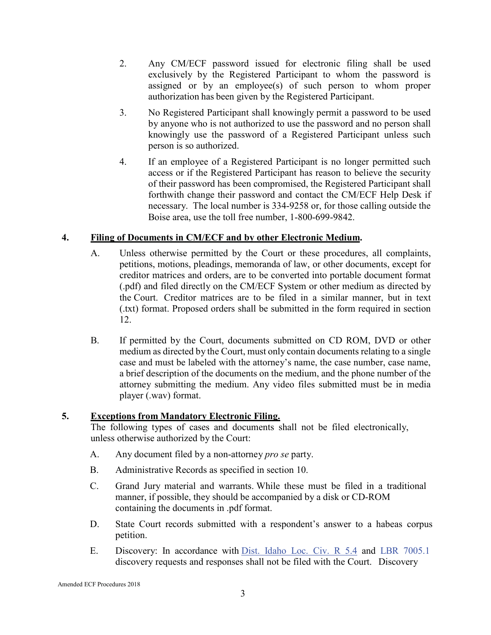- 2. Any CM/ECF password issued for electronic filing shall be used exclusively by the Registered Participant to whom the password is assigned or by an employee(s) of such person to whom proper authorization has been given by the Registered Participant.
- 3. No Registered Participant shall knowingly permit a password to be used by anyone who is not authorized to use the password and no person shall knowingly use the password of a Registered Participant unless such person is so authorized.
- 4. If an employee of a Registered Participant is no longer permitted such access or if the Registered Participant has reason to believe the security of their password has been compromised, the Registered Participant shall forthwith change their password and contact the CM/ECF Help Desk if necessary. The local number is 334-9258 or, for those calling outside the Boise area, use the toll free number, 1-800-699-9842.

# **4. Filing of Documents in CM/ECF and by other Electronic Medium.**

- A. Unless otherwise permitted by the Court or these procedures, all complaints, petitions, motions, pleadings, memoranda of law, or other documents, except for creditor matrices and orders, are to be converted into portable document format (.pdf) and filed directly on the CM/ECF System or other medium as directed by the Court. Creditor matrices are to be filed in a similar manner, but in text (.txt) format. Proposed orders shall be submitted in the form required in section 12.
- B. If permitted by the Court, documents submitted on CD ROM, DVD or other medium as directed by the Court, must only contain documents relating to a single case and must be labeled with the attorney's name, the case number, case name, a brief description of the documents on the medium, and the phone number of the attorney submitting the medium. Any video files submitted must be in media player (.wav) format.

# **5. Exceptions from Mandatory Electronic Filing.**

The following types of cases and documents shall not be filed electronically, unless otherwise authorized by the Court:

- A. Any document filed by a non-attorney *pro se* party.
- B. Administrative Records as specified in section 10.
- C. Grand Jury material and warrants. While these must be filed in a traditional manner, if possible, they should be accompanied by a disk or CD-ROM containing the documents in .pdf format.
- D. State Court records submitted with a respondent's answer to a habeas corpus petition.
- E. Discovery: In accordance with Dist. Idaho Loc. Civ. R 5.4 and LBR 7005.1 discovery requests and responses shall not be filed with the Court. Discovery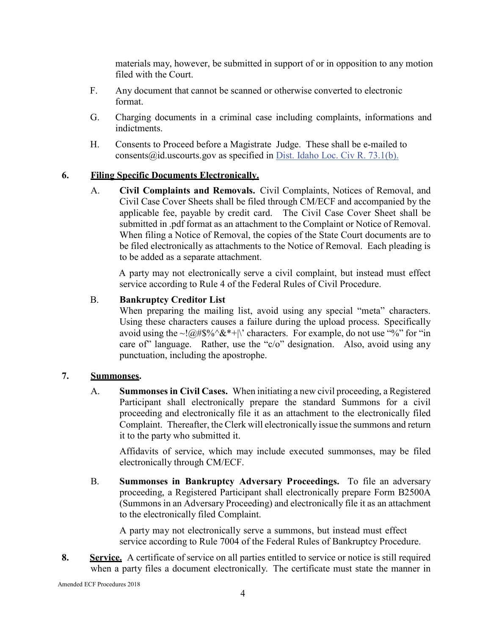materials may, however, be submitted in support of or in opposition to any motion filed with the Court.

- F. Any document that cannot be scanned or otherwise converted to electronic format.
- G. Charging documents in a criminal case including complaints, informations and indictments.
- H. Consents to Proceed before a Magistrate Judge. These shall be e-mailed t[o](mailto:consents@id.uscourts.gov) consents  $(\partial \text{id.} \text{uscounts.gov}$  as specified in Dist. Idaho Loc. Civ R. 73.1(b).

# **6. Filing Specific Documents Electronically.**

A. **Civil Complaints and Removals.** Civil Complaints, Notices of Removal, and Civil Case Cover Sheets shall be filed through CM/ECF and accompanied by the applicable fee, payable by credit card. The Civil Case Cover Sheet shall be submitted in .pdf format as an attachment to the Complaint or Notice of Removal. When filing a Notice of Removal, the copies of the State Court documents are to be filed electronically as attachments to the Notice of Removal. Each pleading is to be added as a separate attachment.

A party may not electronically serve a civil complaint, but instead must effect service according to Rule 4 of the Federal Rules of Civil Procedure.

# B. **Bankruptcy Creditor List**

When preparing the mailing list, avoid using any special "meta" characters. Using these characters causes a failure during the upload process. Specifically avoid using the  $\sim 1/\omega/4\$ %  $\&$ \*+|\' characters. For example, do not use "%" for "in care of" language. Rather, use the "c/o" designation. Also, avoid using any punctuation, including the apostrophe.

# **7. Summonses.**

A. **Summonses in Civil Cases.** When initiating a new civil proceeding, a Registered Participant shall electronically prepare the standard Summons for a civil proceeding and electronically file it as an attachment to the electronically filed Complaint. Thereafter, the Clerk will electronically issue the summons and return it to the party who submitted it.

Affidavits of service, which may include executed summonses, may be filed electronically through CM/ECF.

B. **Summonses in Bankruptcy Adversary Proceedings.** To file an adversary proceeding, a Registered Participant shall electronically prepare Form B2500A (Summons in an Adversary Proceeding) and electronically file it as an attachment to the electronically filed Complaint.

A party may not electronically serve a summons, but instead must effect service according to Rule 7004 of the Federal Rules of Bankruptcy Procedure.

**8. Service.** A certificate of service on all parties entitled to service or notice is still required when a party files a document electronically. The certificate must state the manner in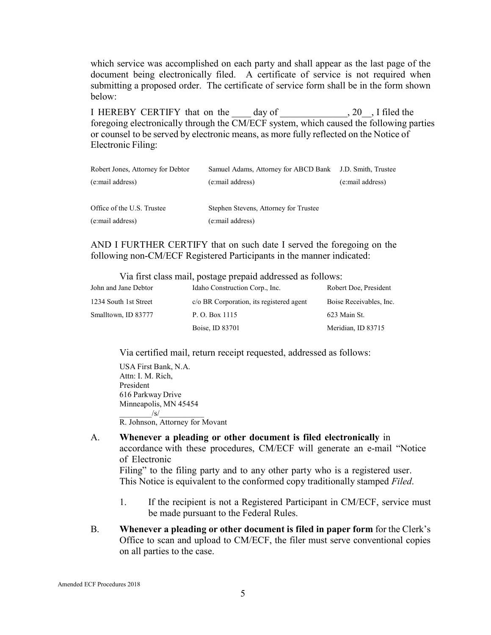which service was accomplished on each party and shall appear as the last page of the document being electronically filed. A certificate of service is not required when submitting a proposed order. The certificate of service form shall be in the form shown below:

I HEREBY CERTIFY that on the day of \_\_\_\_\_\_\_\_\_\_\_\_\_\_\_\_\_\_\_\_\_\_\_\_, 20\_\_\_, I filed the foregoing electronically through the  $\overline{\text{CM/ECF}}$  system, which caused the following parties or counsel to be served by electronic means, as more fully reflected on the Notice of Electronic Filing:

| Robert Jones, Attorney for Debtor | Samuel Adams, Attorney for ABCD Bank J.D. Smith, Trustee |                  |
|-----------------------------------|----------------------------------------------------------|------------------|
| (e:mail address)                  | (e:mail address)                                         | (e:mail address) |
| Office of the U.S. Trustee        | Stephen Stevens, Attorney for Trustee                    |                  |
| (e:mail address)                  | (e:mail address)                                         |                  |

AND I FURTHER CERTIFY that on such date I served the foregoing on the following non-CM/ECF Registered Participants in the manner indicated:

Via first class mail, postage prepaid addressed as follows:

| John and Jane Debtor  | Idaho Construction Corp., Inc.           | Robert Doe, President   |
|-----------------------|------------------------------------------|-------------------------|
| 1234 South 1st Street | c/o BR Corporation, its registered agent | Boise Receivables, Inc. |
| Smalltown, ID 83777   | P. O. Box 1115                           | 623 Main St.            |
|                       | Boise, ID 83701                          | Meridian, ID 83715      |

Via certified mail, return receipt requested, addressed as follows:

USA First Bank, N.A. Attn: I. M. Rich, President 616 Parkway Drive Minneapolis, MN 45454  $\frac{|s|}{\sqrt{s}}$ R. Johnson, Attorney for Movant

- 
- A. **Whenever a pleading or other document is filed electronically** in accordance with these procedures, CM/ECF will generate an e-mail "Notice of Electronic

Filing" to the filing party and to any other party who is a registered user. This Notice is equivalent to the conformed copy traditionally stamped *Filed*.

- 1. If the recipient is not a Registered Participant in CM/ECF, service must be made pursuant to the Federal Rules.
- B. **Whenever a pleading or other document is filed in paper form** for the Clerk's Office to scan and upload to CM/ECF, the filer must serve conventional copies on all parties to the case.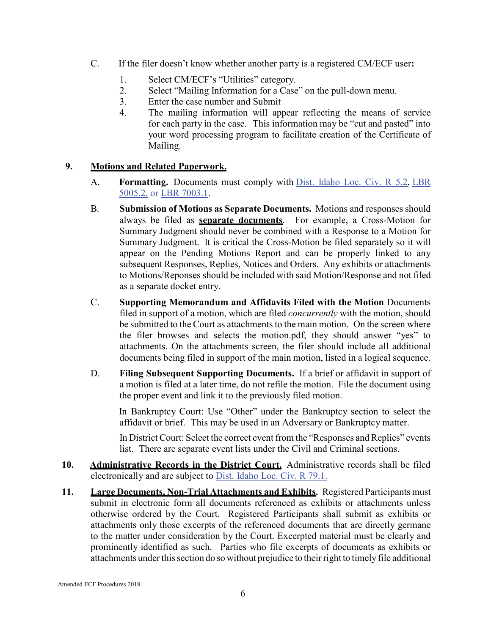- C. If the filer doesn't know whether another party is a registered CM/ECF user**:**
	- 1. Select CM/ECF's "Utilities" category.
	- 2. Select "Mailing Information for a Case" on the pull-down menu.
	- 3. Enter the case number and Submit
	- 4. The mailing information will appear reflecting the means of service for each party in the case. This information may be "cut and pasted" into your word processing program to facilitate creation of the Certificate of Mailing.

# **9. Motions and Related Paperwork.**

- A. **Formatting.** Documents must comply with Dist. Idaho Loc. Civ. R 5.2, LBR 5005.2, or LBR 7003.1.
- B. **Submission of Motions as Separate Documents.** Motions and responses should always be filed as **separate documents**. For example, a Cross-Motion for Summary Judgment should never be combined with a Response to a Motion for Summary Judgment. It is critical the Cross-Motion be filed separately so it will appear on the Pending Motions Report and can be properly linked to any subsequent Responses, Replies, Notices and Orders. Any exhibits or attachments to Motions/Reponses should be included with said Motion/Response and not filed as a separate docket entry.
- C. **Supporting Memorandum and Affidavits Filed with the Motion** Documents filed in support of a motion, which are filed *concurrently* with the motion, should be submitted to the Court as attachments to the main motion. On the screen where the filer browses and selects the motion.pdf, they should answer "yes" to attachments. On the attachments screen, the filer should include all additional documents being filed in support of the main motion, listed in a logical sequence.
- D. **Filing Subsequent Supporting Documents.** If a brief or affidavit in support of a motion is filed at a later time, do not refile the motion. File the document using the proper event and link it to the previously filed motion.

In Bankruptcy Court: Use "Other" under the Bankruptcy section to select the affidavit or brief. This may be used in an Adversary or Bankruptcy matter.

In District Court: Select the correct event from the "Responses and Replies" events list. There are separate event lists under the Civil and Criminal sections.

- **10. Administrative Records in the District Court.** Administrative records shall be filed electronically and are subject to Dist. Idaho Loc. Civ. R 79.1.
- **11. Large Documents, Non-Trial Attachments and Exhibits.** Registered Participants must submit in electronic form all documents referenced as exhibits or attachments unless otherwise ordered by the Court. Registered Participants shall submit as exhibits or attachments only those excerpts of the referenced documents that are directly germane to the matter under consideration by the Court. Excerpted material must be clearly and prominently identified as such. Parties who file excerpts of documents as exhibits or attachments under this section do so without prejudice to their right to timely file additional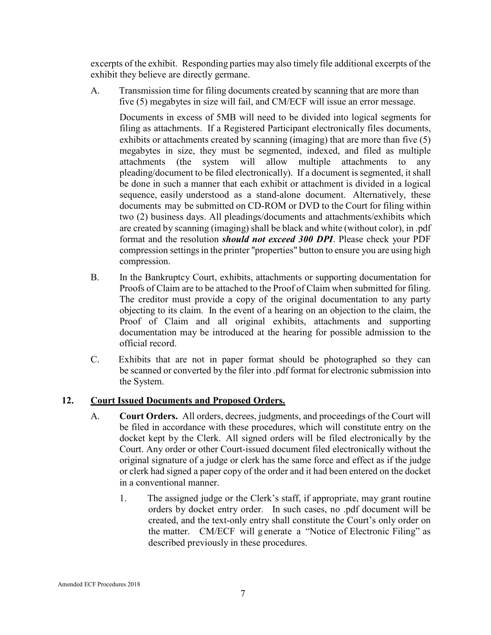excerpts of the exhibit. Responding parties may also timely file additional excerpts of the exhibit they believe are directly germane.

A. Transmission time for filing documents created by scanning that are more than five (5) megabytes in size will fail, and CM/ECF will issue an error message.

Documents in excess of 5MB will need to be divided into logical segments for filing as attachments. If a Registered Participant electronically files documents, exhibits or attachments created by scanning (imaging) that are more than five (5) megabytes in size, they must be segmented, indexed, and filed as multiple attachments (the system will allow multiple attachments to any pleading/document to be filed electronically). If a document is segmented, it shall be done in such a manner that each exhibit or attachment is divided in a logical sequence, easily understood as a stand-alone document. Alternatively, these documents may be submitted on CD-ROM or DVD to the Court for filing within two (2) business days. All pleadings/documents and attachments/exhibits which are created by scanning (imaging) shall be black and white (without color), in .pdf format and the resolution *should not exceed 300 DPI*. Please check your PDF compression settings in the printer "properties" button to ensure you are using high compression.

- B. In the Bankruptcy Court, exhibits, attachments or supporting documentation for Proofs of Claim are to be attached to the Proof of Claim when submitted for filing. The creditor must provide a copy of the original documentation to any party objecting to its claim. In the event of a hearing on an objection to the claim, the Proof of Claim and all original exhibits, attachments and supporting documentation may be introduced at the hearing for possible admission to the official record.
- C. Exhibits that are not in paper format should be photographed so they can be scanned or converted by the filer into .pdf format for electronic submission into the System.

# **12. Court Issued Documents and Proposed Orders.**

- A. **Court Orders.** All orders, decrees, judgments, and proceedings of the Court will be filed in accordance with these procedures, which will constitute entry on the docket kept by the Clerk. All signed orders will be filed electronically by the Court. Any order or other Court-issued document filed electronically without the original signature of a judge or clerk has the same force and effect as if the judge or clerk had signed a paper copy of the order and it had been entered on the docket in a conventional manner.
	- 1. The assigned judge or the Clerk's staff, if appropriate, may grant routine orders by docket entry order. In such cases, no .pdf document will be created, and the text-only entry shall constitute the Court's only order on the matter. CM/ECF will g enerate a "Notice of Electronic Filing" as described previously in these procedures.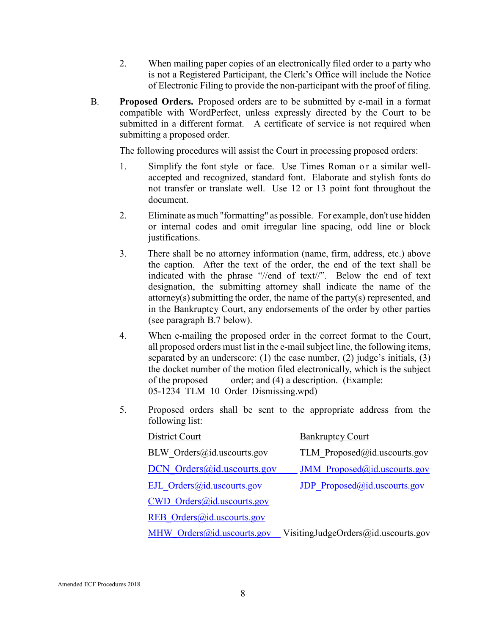- 2. When mailing paper copies of an electronically filed order to a party who is not a Registered Participant, the Clerk's Office will include the Notice of Electronic Filing to provide the non-participant with the proof of filing.
- B. **Proposed Orders.** Proposed orders are to be submitted by e-mail in a format compatible with WordPerfect, unless expressly directed by the Court to be submitted in a different format. A certificate of service is not required when submitting a proposed order.

The following procedures will assist the Court in processing proposed orders:

- 1. Simplify the font style or face. Use Times Roman or a similar wellaccepted and recognized, standard font. Elaborate and stylish fonts do not transfer or translate well. Use 12 or 13 point font throughout the document.
- 2. Eliminate as much "formatting" as possible. For example, don't use hidden or internal codes and omit irregular line spacing, odd line or block justifications.
- 3. There shall be no attorney information (name, firm, address, etc.) above the caption. After the text of the order, the end of the text shall be indicated with the phrase "//end of text//". Below the end of text designation, the submitting attorney shall indicate the name of the attorney(s) submitting the order, the name of the party(s) represented, and in the Bankruptcy Court, any endorsements of the order by other parties (see paragraph B.7 below).
- 4. When e-mailing the proposed order in the correct format to the Court, all proposed orders must list in the e-mail subject line, the following items, separated by an underscore: (1) the case number, (2) judge's initials, (3) the docket number of the motion filed electronically, which is the subject of the proposed order; and (4) a description. (Example: 05-1234\_TLM\_10\_Order\_Dismissing.wpd)
- 5. Proposed orders shall be sent to the appropriate address from the following list:

| District Court               | <b>Bankruptcy Court</b>             |
|------------------------------|-------------------------------------|
| $BLW$ Orders@id.uscourts.gov | TLM Proposed@id.uscourts.gov        |
| DCN Orders@id.uscourts.gov   | <b>JMM</b> Proposed@id.uscourts.gov |
| EJL Orders@id.uscourts.gov   | <b>JDP</b> Proposed@id.uscourts.gov |
| CWD Orders@id.uscourts.gov   |                                     |
| REB Orders@id.uscourts.gov   |                                     |
| MHW Orders@id.uscourts.gov   | VisitingJudgeOrders@id.uscourts.gov |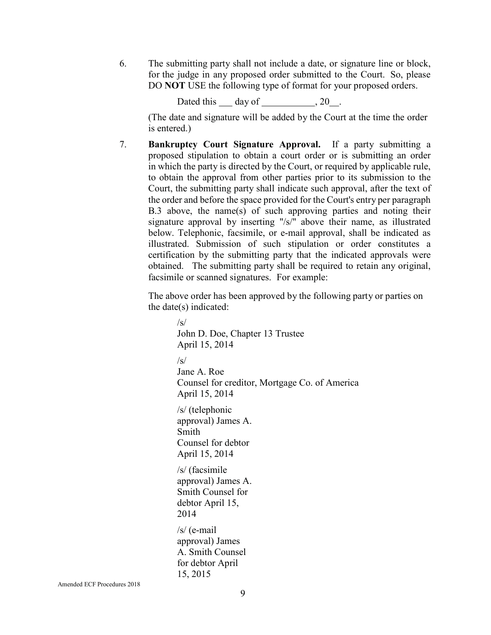6. The submitting party shall not include a date, or signature line or block, for the judge in any proposed order submitted to the Court. So, please DO **NOT** USE the following type of format for your proposed orders.

Dated this  $\_\_$  day of  $\_\_$ , 20  $\_\_$ .

(The date and signature will be added by the Court at the time the order is entered.)

7. **Bankruptcy Court Signature Approval.** If a party submitting a proposed stipulation to obtain a court order or is submitting an order in which the party is directed by the Court, or required by applicable rule, to obtain the approval from other parties prior to its submission to the Court, the submitting party shall indicate such approval, after the text of the order and before the space provided for the Court's entry per paragraph B.3 above, the name(s) of such approving parties and noting their signature approval by inserting "/s/" above their name, as illustrated below. Telephonic, facsimile, or e-mail approval, shall be indicated as illustrated. Submission of such stipulation or order constitutes a certification by the submitting party that the indicated approvals were obtained. The submitting party shall be required to retain any original, facsimile or scanned signatures. For example:

The above order has been approved by the following party or parties on the date(s) indicated:

> $/s/$ John D. Doe, Chapter 13 Trustee April 15, 2014  $\sqrt{s}$ Jane A. Roe Counsel for creditor, Mortgage Co. of America April 15, 2014 /s/ (telephonic approval) James A. Smith Counsel for debtor April 15, 2014 /s/ (facsimile approval) James A. Smith Counsel for debtor April 15, 2014 /s/ (e-mail approval) James A. Smith Counsel for debtor April 15, 2015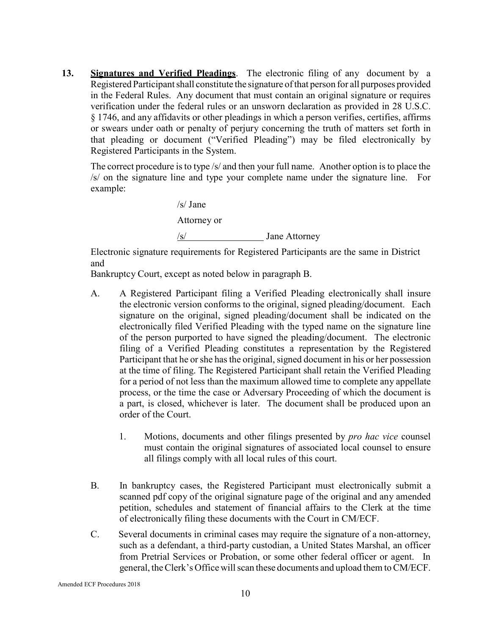**13. Signatures and Verified Pleadings**. The electronic filing of any document by a Registered Participant shall constitute the signature of that person for all purposes provided in the Federal Rules. Any document that must contain an original signature or requires verification under the federal rules or an unsworn declaration as provided in 28 U.S.C. § 1746, and any affidavits or other pleadings in which a person verifies, certifies, affirms or swears under oath or penalty of perjury concerning the truth of matters set forth in that pleading or document ("Verified Pleading") may be filed electronically by Registered Participants in the System.

The correct procedure is to type /s/ and then your full name. Another option is to place the /s/ on the signature line and type your complete name under the signature line. For example:

> /s/ Jane Attorney or /s/ Jane Attorney

Electronic signature requirements for Registered Participants are the same in District and

Bankruptcy Court, except as noted below in paragraph B.

- A. A Registered Participant filing a Verified Pleading electronically shall insure the electronic version conforms to the original, signed pleading/document. Each signature on the original, signed pleading/document shall be indicated on the electronically filed Verified Pleading with the typed name on the signature line of the person purported to have signed the pleading/document. The electronic filing of a Verified Pleading constitutes a representation by the Registered Participant that he or she has the original, signed document in his or her possession at the time of filing. The Registered Participant shall retain the Verified Pleading for a period of not less than the maximum allowed time to complete any appellate process, or the time the case or Adversary Proceeding of which the document is a part, is closed, whichever is later. The document shall be produced upon an order of the Court.
	- 1. Motions, documents and other filings presented by *pro hac vice* counsel must contain the original signatures of associated local counsel to ensure all filings comply with all local rules of this court.
- B. In bankruptcy cases, the Registered Participant must electronically submit a scanned pdf copy of the original signature page of the original and any amended petition, schedules and statement of financial affairs to the Clerk at the time of electronically filing these documents with the Court in CM/ECF.
- C. Several documents in criminal cases may require the signature of a non-attorney, such as a defendant, a third-party custodian, a United States Marshal, an officer from Pretrial Services or Probation, or some other federal officer or agent. In general, the Clerk's Office will scan these documents and upload them to CM/ECF.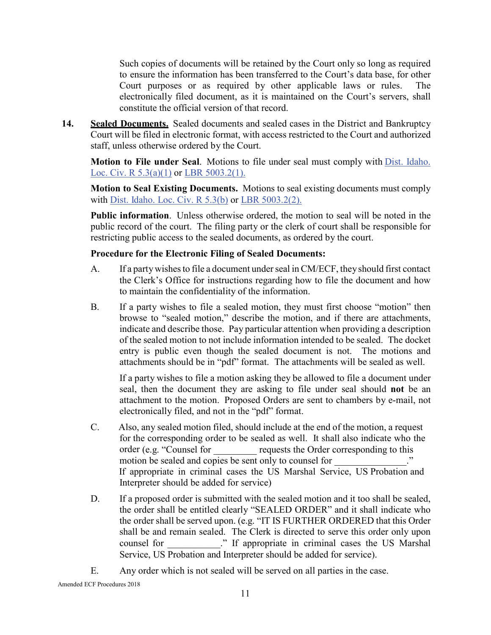Such copies of documents will be retained by the Court only so long as required to ensure the information has been transferred to the Court's data base, for other Court purposes or as required by other applicable laws or rules. The electronically filed document, as it is maintained on the Court's servers, shall constitute the official version of that record.

**14. Sealed Documents.** Sealed documents and sealed cases in the District and Bankruptcy Court will be filed in electronic format, with access restricted to the Court and authorized staff, unless otherwise ordered by the Court.

**Motion to File under Seal**. Motions to file under seal must comply with Dist. Idaho. Loc. Civ. R 5.3(a)(1) or LBR 5003.2(1).

**Motion to Seal Existing Documents.** Motions to seal existing documents must comply with Dist. Idaho. Loc. Civ. R 5.3(b) or LBR 5003.2(2).

**Public information**. Unless otherwise ordered, the motion to seal will be noted in the public record of the court. The filing party or the clerk of court shall be responsible for restricting public access to the sealed documents, as ordered by the court.

#### **Procedure for the Electronic Filing of Sealed Documents:**

- A. If a partywishesto file a document underseal in CM/ECF, theyshould first contact the Clerk's Office for instructions regarding how to file the document and how to maintain the confidentiality of the information.
- B. If a party wishes to file a sealed motion, they must first choose "motion" then browse to "sealed motion," describe the motion, and if there are attachments, indicate and describe those. Pay particular attention when providing a description of the sealed motion to not include information intended to be sealed. The docket entry is public even though the sealed document is not. The motions and attachments should be in "pdf" format. The attachments will be sealed as well.

If a party wishes to file a motion asking they be allowed to file a document under seal, then the document they are asking to file under seal should **not** be an attachment to the motion. Proposed Orders are sent to chambers by e-mail, not electronically filed, and not in the "pdf" format.

- C. Also, any sealed motion filed, should include at the end of the motion, a request for the corresponding order to be sealed as well. It shall also indicate who the order (e.g. "Counsel for equests the Order corresponding to this motion be sealed and copies be sent only to counsel for If appropriate in criminal cases the US Marshal Service, US Probation and Interpreter should be added for service)
- D. If a proposed order is submitted with the sealed motion and it too shall be sealed, the order shall be entitled clearly "SEALED ORDER" and it shall indicate who the order shall be served upon. (e.g. "IT IS FURTHER ORDERED that this Order shall be and remain sealed. The Clerk is directed to serve this order only upon counsel for The counsel for the US Marshal cases the US Marshal Service, US Probation and Interpreter should be added for service).
- E. Any order which is not sealed will be served on all parties in the case.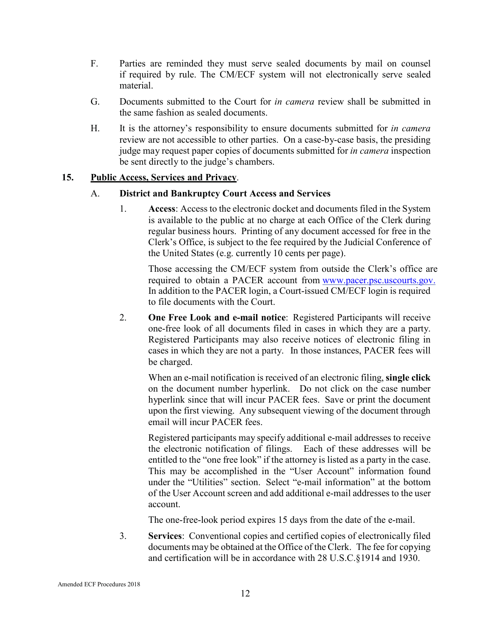- F. Parties are reminded they must serve sealed documents by mail on counsel if required by rule. The CM/ECF system will not electronically serve sealed material.
- G. Documents submitted to the Court for *in camera* review shall be submitted in the same fashion as sealed documents.
- H. It is the attorney's responsibility to ensure documents submitted for *in camera*  review are not accessible to other parties. On a case-by-case basis, the presiding judge may request paper copies of documents submitted for *in camera* inspection be sent directly to the judge's chambers.

#### **15. Public Access, Services and Privacy**.

#### A. **District and Bankruptcy Court Access and Services**

1. **Access**: Access to the electronic docket and documents filed in the System is available to the public at no charge at each Office of the Clerk during regular business hours. Printing of any document accessed for free in the Clerk's Office, is subject to the fee required by the Judicial Conference of the United States (e.g. currently 10 cents per page).

Those accessing the CM/ECF system from outside the Clerk's office are required to obtain a PACER account from [www.pacer.psc.uscourts.gov.](http://www.pacer.psc.uscourts.gov./) In addition to the PACER login, a Court-issued CM/ECF login is required to file documents with the Court.

2. **One Free Look and e-mail notice**: Registered Participants will receive one-free look of all documents filed in cases in which they are a party. Registered Participants may also receive notices of electronic filing in cases in which they are not a party. In those instances, PACER fees will be charged.

When an e-mail notification is received of an electronic filing, **single click**  on the document number hyperlink. Do not click on the case number hyperlink since that will incur PACER fees. Save or print the document upon the first viewing. Any subsequent viewing of the document through email will incur PACER fees.

Registered participants may specify additional e-mail addresses to receive the electronic notification of filings. Each of these addresses will be entitled to the "one free look" if the attorney is listed as a party in the case. This may be accomplished in the "User Account" information found under the "Utilities" section. Select "e-mail information" at the bottom of the User Account screen and add additional e-mail addresses to the user account.

The one-free-look period expires 15 days from the date of the e-mail.

3. **Services**: Conventional copies and certified copies of electronically filed documents may be obtained at the Office of the Clerk. The fee for copying and certification will be in accordance with 28 U.S.C.§1914 and 1930.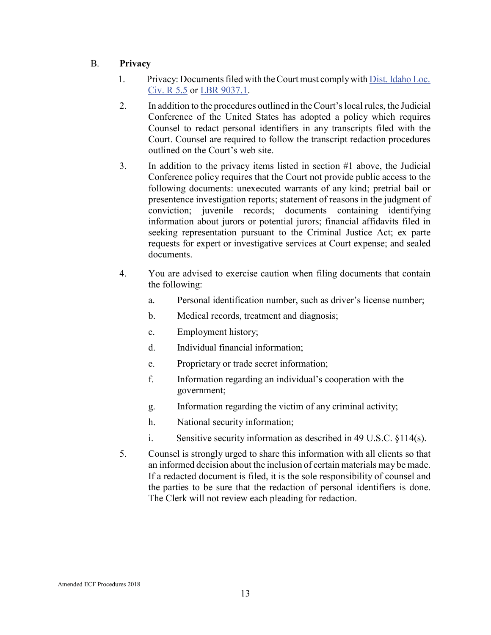# B. **Privacy**

- 1. Privacy: Documents filed with the Court must comply with Dist. Idaho Loc. Civ. R 5.5 or LBR 9037.1.
- 2. In addition to the procedures outlined in theCourt'slocal rules, the Judicial Conference of the United States has adopted a policy which requires Counsel to redact personal identifiers in any transcripts filed with the Court. Counsel are required to follow the transcript redaction procedures outlined on the Court's web site.
- 3. In addition to the privacy items listed in section #1 above, the Judicial Conference policy requires that the Court not provide public access to the following documents: unexecuted warrants of any kind; pretrial bail or presentence investigation reports; statement of reasons in the judgment of conviction; juvenile records; documents containing identifying information about jurors or potential jurors; financial affidavits filed in seeking representation pursuant to the Criminal Justice Act; ex parte requests for expert or investigative services at Court expense; and sealed documents.
- 4. You are advised to exercise caution when filing documents that contain the following:
	- a. Personal identification number, such as driver's license number;
	- b. Medical records, treatment and diagnosis;
	- c. Employment history;
	- d. Individual financial information;
	- e. Proprietary or trade secret information;
	- f. Information regarding an individual's cooperation with the government;
	- g. Information regarding the victim of any criminal activity;
	- h. National security information;
	- i. Sensitive security information as described in 49 U.S.C. §114(s).
- 5. Counsel is strongly urged to share this information with all clients so that an informed decision about the inclusion of certain materials may be made. If a redacted document is filed, it is the sole responsibility of counsel and the parties to be sure that the redaction of personal identifiers is done. The Clerk will not review each pleading for redaction.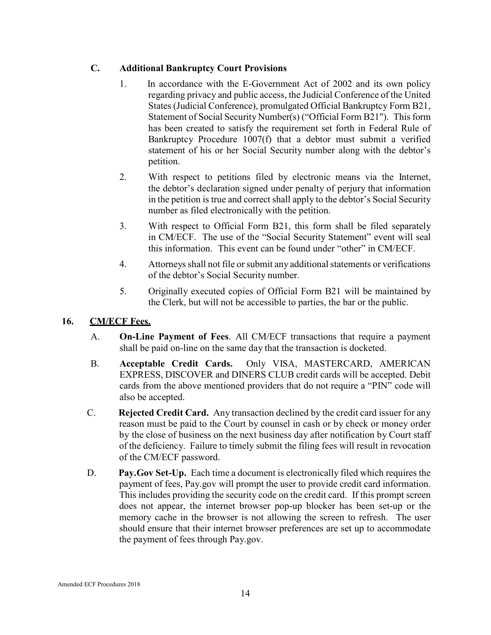# **C. Additional Bankruptcy Court Provisions**

- 1. In accordance with the E-Government Act of 2002 and its own policy regarding privacy and public access, the Judicial Conference of the United States (Judicial Conference), promulgated Official Bankruptcy Form B21, Statement of Social Security Number(s) ("Official Form B21"). This form has been created to satisfy the requirement set forth in Federal Rule of Bankruptcy Procedure 1007(f) that a debtor must submit a verified statement of his or her Social Security number along with the debtor's petition.
- 2. With respect to petitions filed by electronic means via the Internet, the debtor's declaration signed under penalty of perjury that information in the petition is true and correct shall apply to the debtor's Social Security number as filed electronically with the petition.
- 3. With respect to Official Form B21, this form shall be filed separately in CM/ECF. The use of the "Social Security Statement" event will seal this information. This event can be found under "other" in CM/ECF.
- 4. Attorneys shall not file orsubmit any additional statements or verifications of the debtor's Social Security number.
- 5. Originally executed copies of Official Form B21 will be maintained by the Clerk, but will not be accessible to parties, the bar or the public.

# **16. CM/ECF Fees.**

- A. **On-Line Payment of Fees**. All CM/ECF transactions that require a payment shall be paid on-line on the same day that the transaction is docketed.
- B. **Acceptable Credit Cards.** Only VISA, MASTERCARD, AMERICAN EXPRESS, DISCOVER and DINERS CLUB credit cards will be accepted. Debit cards from the above mentioned providers that do not require a "PIN" code will also be accepted.
- C. **Rejected Credit Card.** Any transaction declined by the credit card issuer for any reason must be paid to the Court by counsel in cash or by check or money order by the close of business on the next business day after notification by Court staff of the deficiency. Failure to timely submit the filing fees will result in revocation of the CM/ECF password.
- D. **Pay.Gov Set-Up.** Each time a document is electronically filed which requires the payment of fees, Pay.gov will prompt the user to provide credit card information. This includes providing the security code on the credit card. If this prompt screen does not appear, the internet browser pop-up blocker has been set-up or the memory cache in the browser is not allowing the screen to refresh. The user should ensure that their internet browser preferences are set up to accommodate the payment of fees through Pay.gov.